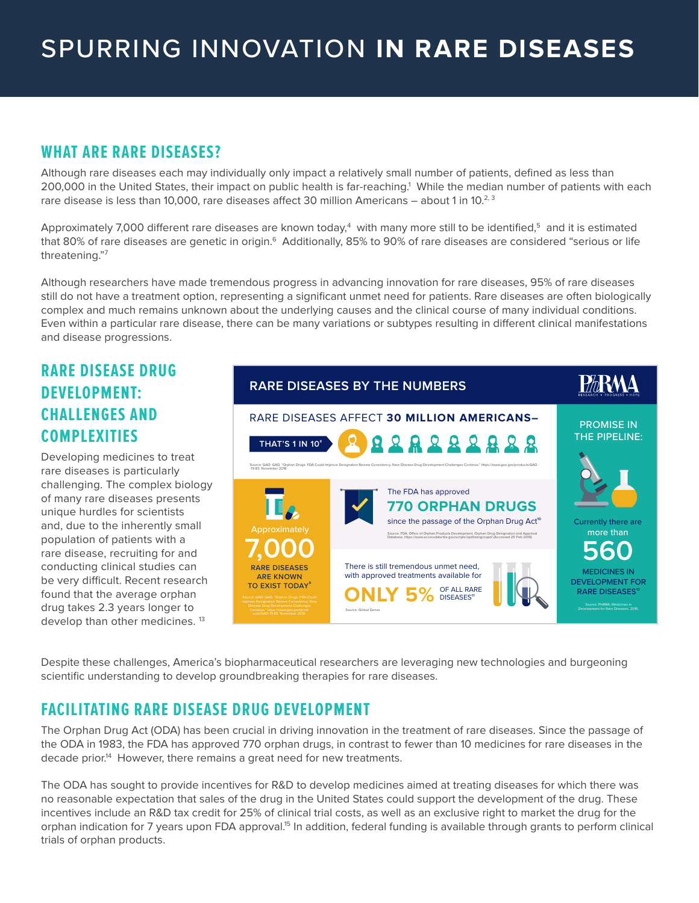### **WHAT ARE RARE DISEASES?**

Although rare diseases each may individually only impact a relatively small number of patients, defined as less than 200,000 in the United States, their impact on public health is far-reaching.1 While the median number of patients with each rare disease is less than 10,000, rare diseases affect 30 million Americans - about 1 in 10.<sup>2, 3</sup>

Approximately 7,000 different rare diseases are known today, $^4\,$  with many more still to be identified, $^5\,$  and it is estimated that 80% of rare diseases are genetic in origin.<sup>6</sup> Additionally, 85% to 90% of rare diseases are considered "serious or life threatening."7

Although researchers have made tremendous progress in advancing innovation for rare diseases, 95% of rare diseases still do not have a treatment option, representing a significant unmet need for patients. Rare diseases are often biologically complex and much remains unknown about the underlying causes and the clinical course of many individual conditions. Even within a particular rare disease, there can be many variations or subtypes resulting in different clinical manifestations and disease progressions.

## **RARE DISEASE DRUG DEVELOPMENT: CHALLENGES AND COMPLEXITIES**

Developing medicines to treat rare diseases is particularly challenging. The complex biology of many rare diseases presents unique hurdles for scientists and, due to the inherently small population of patients with a rare disease, recruiting for and conducting clinical studies can be very difficult. Recent research found that the average orphan drug takes 2.3 years longer to develop than other medicines.<sup>13</sup>



Despite these challenges, America's biopharmaceutical researchers are leveraging new technologies and burgeoning scientific understanding to develop groundbreaking therapies for rare diseases.

# **FACILITATING RARE DISEASE DRUG DEVELOPMENT**

The Orphan Drug Act (ODA) has been crucial in driving innovation in the treatment of rare diseases. Since the passage of the ODA in 1983, the FDA has approved 770 orphan drugs, in contrast to fewer than 10 medicines for rare diseases in the decade prior.<sup>14</sup> However, there remains a great need for new treatments.

The ODA has sought to provide incentives for R&D to develop medicines aimed at treating diseases for which there was no reasonable expectation that sales of the drug in the United States could support the development of the drug. These incentives include an R&D tax credit for 25% of clinical trial costs, as well as an exclusive right to market the drug for the orphan indication for 7 years upon FDA approval.<sup>15</sup> In addition, federal funding is available through grants to perform clinical trials of orphan products.